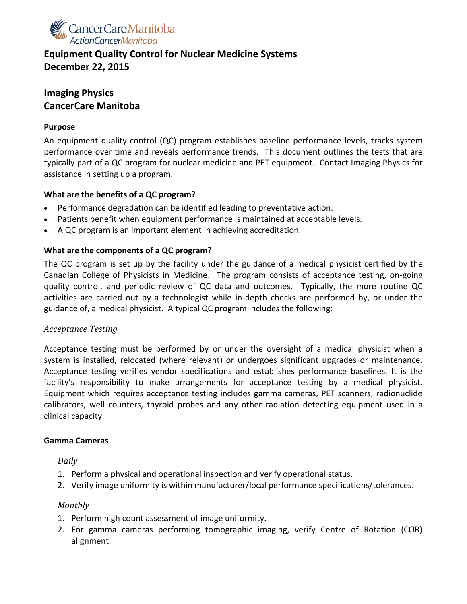

# **Equipment Quality Control for Nuclear Medicine Systems December 22, 2015**

# **Imaging Physics CancerCare Manitoba**

#### **Purpose**

An equipment quality control (QC) program establishes baseline performance levels, tracks system performance over time and reveals performance trends. This document outlines the tests that are typically part of a QC program for nuclear medicine and PET equipment. Contact Imaging Physics for assistance in setting up a program.

### **What are the benefits of a QC program?**

- Performance degradation can be identified leading to preventative action.
- Patients benefit when equipment performance is maintained at acceptable levels.
- A QC program is an important element in achieving accreditation.

#### **What are the components of a QC program?**

The QC program is set up by the facility under the guidance of a medical physicist certified by the Canadian College of Physicists in Medicine. The program consists of acceptance testing, on-going quality control, and periodic review of QC data and outcomes. Typically, the more routine QC activities are carried out by a technologist while in-depth checks are performed by, or under the guidance of, a medical physicist. A typical QC program includes the following:

#### *Acceptance Testing*

Acceptance testing must be performed by or under the oversight of a medical physicist when a system is installed, relocated (where relevant) or undergoes significant upgrades or maintenance. Acceptance testing verifies vendor specifications and establishes performance baselines. It is the facility's responsibility to make arrangements for acceptance testing by a medical physicist. Equipment which requires acceptance testing includes gamma cameras, PET scanners, radionuclide calibrators, well counters, thyroid probes and any other radiation detecting equipment used in a clinical capacity.

#### **Gamma Cameras**

*Daily*

- 1. Perform a physical and operational inspection and verify operational status.
- 2. Verify image uniformity is within manufacturer/local performance specifications/tolerances.

#### *Monthly*

- 1. Perform high count assessment of image uniformity.
- 2. For gamma cameras performing tomographic imaging, verify Centre of Rotation (COR) alignment.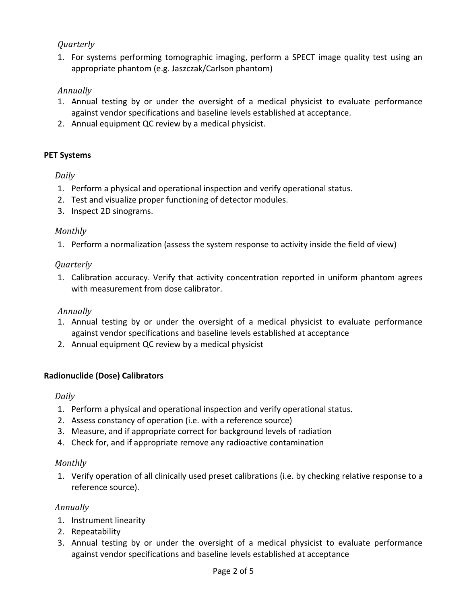# *Quarterly*

1. For systems performing tomographic imaging, perform a SPECT image quality test using an appropriate phantom (e.g. Jaszczak/Carlson phantom)

## *Annually*

- 1. Annual testing by or under the oversight of a medical physicist to evaluate performance against vendor specifications and baseline levels established at acceptance.
- 2. Annual equipment QC review by a medical physicist.

### **PET Systems**

*Daily*

- 1. Perform a physical and operational inspection and verify operational status.
- 2. Test and visualize proper functioning of detector modules.
- 3. Inspect 2D sinograms.

### *Monthly*

1. Perform a normalization (assess the system response to activity inside the field of view)

### *Quarterly*

1. Calibration accuracy. Verify that activity concentration reported in uniform phantom agrees with measurement from dose calibrator.

## *Annually*

- 1. Annual testing by or under the oversight of a medical physicist to evaluate performance against vendor specifications and baseline levels established at acceptance
- 2. Annual equipment QC review by a medical physicist

## **Radionuclide (Dose) Calibrators**

#### *Daily*

- 1. Perform a physical and operational inspection and verify operational status.
- 2. Assess constancy of operation (i.e. with a reference source)
- 3. Measure, and if appropriate correct for background levels of radiation
- 4. Check for, and if appropriate remove any radioactive contamination

## *Monthly*

1. Verify operation of all clinically used preset calibrations (i.e. by checking relative response to a reference source).

## *Annually*

- 1. Instrument linearity
- 2. Repeatability
- 3. Annual testing by or under the oversight of a medical physicist to evaluate performance against vendor specifications and baseline levels established at acceptance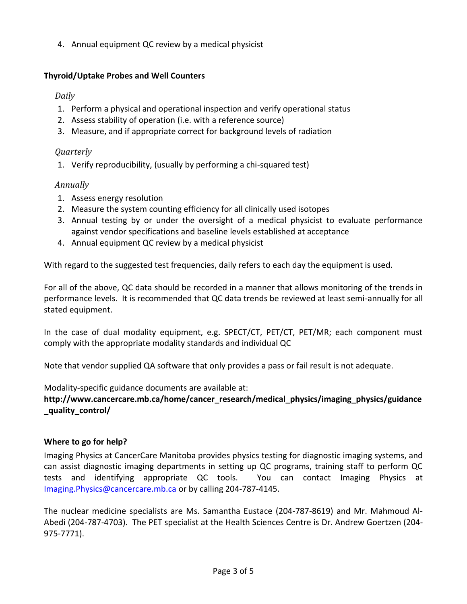4. Annual equipment QC review by a medical physicist

## **Thyroid/Uptake Probes and Well Counters**

# *Daily*

- 1. Perform a physical and operational inspection and verify operational status
- 2. Assess stability of operation (i.e. with a reference source)
- 3. Measure, and if appropriate correct for background levels of radiation

## *Quarterly*

1. Verify reproducibility, (usually by performing a chi-squared test)

## *Annually*

- 1. Assess energy resolution
- 2. Measure the system counting efficiency for all clinically used isotopes
- 3. Annual testing by or under the oversight of a medical physicist to evaluate performance against vendor specifications and baseline levels established at acceptance
- 4. Annual equipment QC review by a medical physicist

With regard to the suggested test frequencies, daily refers to each day the equipment is used.

For all of the above, QC data should be recorded in a manner that allows monitoring of the trends in performance levels. It is recommended that QC data trends be reviewed at least semi-annually for all stated equipment.

In the case of dual modality equipment, e.g. SPECT/CT, PET/CT, PET/MR; each component must comply with the appropriate modality standards and individual QC

Note that vendor supplied QA software that only provides a pass or fail result is not adequate.

Modality-specific guidance documents are available at:

**http://www.cancercare.mb.ca/home/cancer\_research/medical\_physics/imaging\_physics/guidance \_quality\_control/**

# **Where to go for help?**

Imaging Physics at CancerCare Manitoba provides physics testing for diagnostic imaging systems, and can assist diagnostic imaging departments in setting up QC programs, training staff to perform QC tests and identifying appropriate QC tools. You can contact Imaging Physics at [Imaging.Physics@cancercare.mb.ca](mailto:Imaging.Physics@cancercare.mb.ca) or by calling 204-787-4145.

The nuclear medicine specialists are Ms. Samantha Eustace (204-787-8619) and Mr. Mahmoud Al-Abedi (204-787-4703). The PET specialist at the Health Sciences Centre is Dr. Andrew Goertzen (204- 975-7771).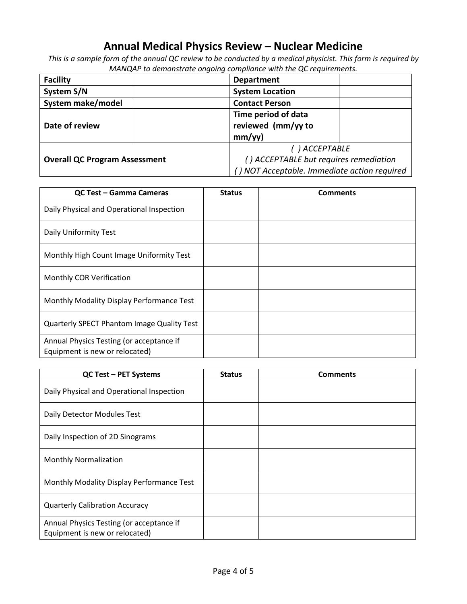# **Annual Medical Physics Review – Nuclear Medicine**

*This is a sample form of the annual QC review to be conducted by a medical physicist. This form is required by MANQAP to demonstrate ongoing compliance with the QC requirements.* 

| <b>Facility</b>                      | <b>Department</b>                           |  |  |
|--------------------------------------|---------------------------------------------|--|--|
| System S/N                           | <b>System Location</b>                      |  |  |
| System make/model                    | <b>Contact Person</b>                       |  |  |
|                                      | Time period of data                         |  |  |
| Date of review                       | reviewed (mm/yy to                          |  |  |
|                                      | mm/yy)                                      |  |  |
|                                      | ()ACCEPTABLE                                |  |  |
| <b>Overall QC Program Assessment</b> | () ACCEPTABLE but requires remediation      |  |  |
|                                      | ) NOT Acceptable. Immediate action required |  |  |

| <b>QC Test - Gamma Cameras</b>                                             | <b>Status</b> | <b>Comments</b> |
|----------------------------------------------------------------------------|---------------|-----------------|
| Daily Physical and Operational Inspection                                  |               |                 |
| Daily Uniformity Test                                                      |               |                 |
| Monthly High Count Image Uniformity Test                                   |               |                 |
| <b>Monthly COR Verification</b>                                            |               |                 |
| Monthly Modality Display Performance Test                                  |               |                 |
| <b>Quarterly SPECT Phantom Image Quality Test</b>                          |               |                 |
| Annual Physics Testing (or acceptance if<br>Equipment is new or relocated) |               |                 |

| <b>QC Test - PET Systems</b>                                               | <b>Status</b> | <b>Comments</b> |
|----------------------------------------------------------------------------|---------------|-----------------|
| Daily Physical and Operational Inspection                                  |               |                 |
| Daily Detector Modules Test                                                |               |                 |
| Daily Inspection of 2D Sinograms                                           |               |                 |
| <b>Monthly Normalization</b>                                               |               |                 |
| Monthly Modality Display Performance Test                                  |               |                 |
| <b>Quarterly Calibration Accuracy</b>                                      |               |                 |
| Annual Physics Testing (or acceptance if<br>Equipment is new or relocated) |               |                 |